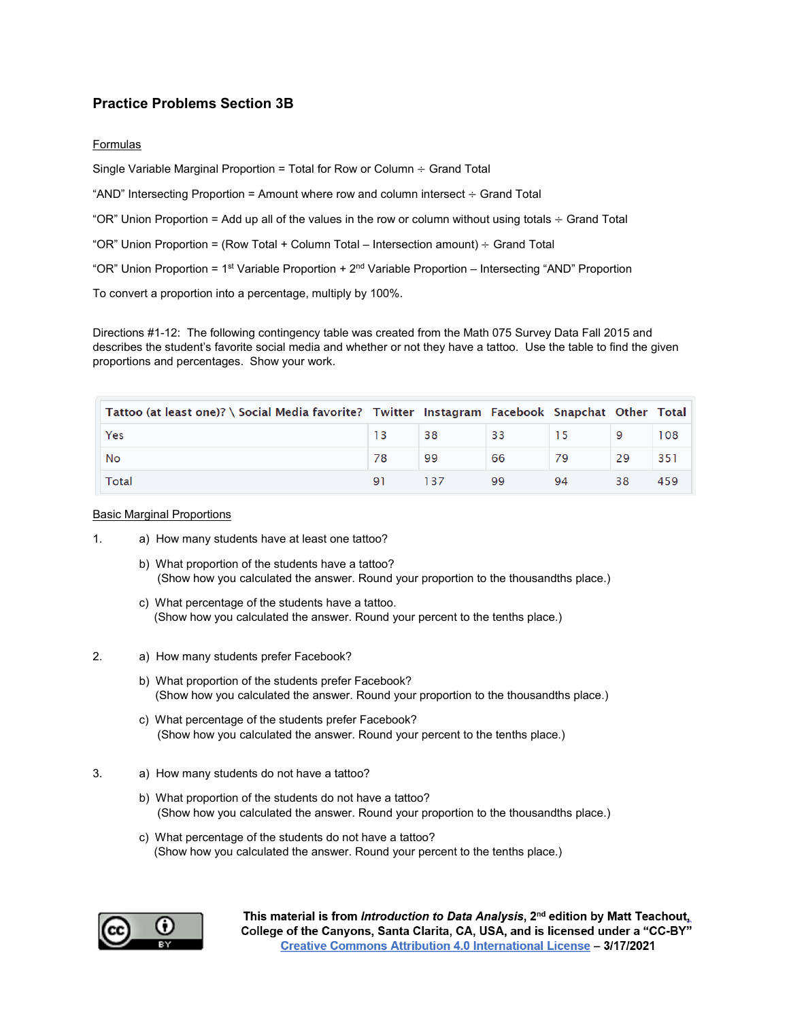# **Practice Problems Section 3B**

### Formulas

Single Variable Marginal Proportion = Total for Row or Column ÷ Grand Total

"AND" Intersecting Proportion = Amount where row and column intersect  $\div$  Grand Total

"OR" Union Proportion = Add up all of the values in the row or column without using totals  $\div$  Grand Total

"OR" Union Proportion = (Row Total + Column Total – Intersection amount)  $\div$  Grand Total

"OR" Union Proportion = 1st Variable Proportion + 2nd Variable Proportion – Intersecting "AND" Proportion

To convert a proportion into a percentage, multiply by 100%.

Directions #1-12: The following contingency table was created from the Math 075 Survey Data Fall 2015 and describes the student's favorite social media and whether or not they have a tattoo. Use the table to find the given proportions and percentages. Show your work.

| Tattoo (at least one)? \ Social Media favorite? Twitter Instagram Facebook Snapchat Other Total |    |    |    |    |     |
|-------------------------------------------------------------------------------------------------|----|----|----|----|-----|
| Yes                                                                                             | 38 | 33 |    | 9  | 108 |
| No                                                                                              | 99 | 66 |    | 29 | 351 |
| Total                                                                                           |    | 99 | 94 |    | 459 |

#### **Basic Marginal Proportions**

- 1. a) How many students have at least one tattoo?
	- b) What proportion of the students have a tattoo? (Show how you calculated the answer. Round your proportion to the thousandths place.)
	- c) What percentage of the students have a tattoo. (Show how you calculated the answer. Round your percent to the tenths place.)
- 2. a) How many students prefer Facebook?
	- b) What proportion of the students prefer Facebook? (Show how you calculated the answer. Round your proportion to the thousandths place.)
	- c) What percentage of the students prefer Facebook? (Show how you calculated the answer. Round your percent to the tenths place.)
- 3. a) How many students do not have a tattoo?
	- b) What proportion of the students do not have a tattoo? (Show how you calculated the answer. Round your proportion to the thousandths place.)
	- c) What percentage of the students do not have a tattoo? (Show how you calculated the answer. Round your percent to the tenths place.)

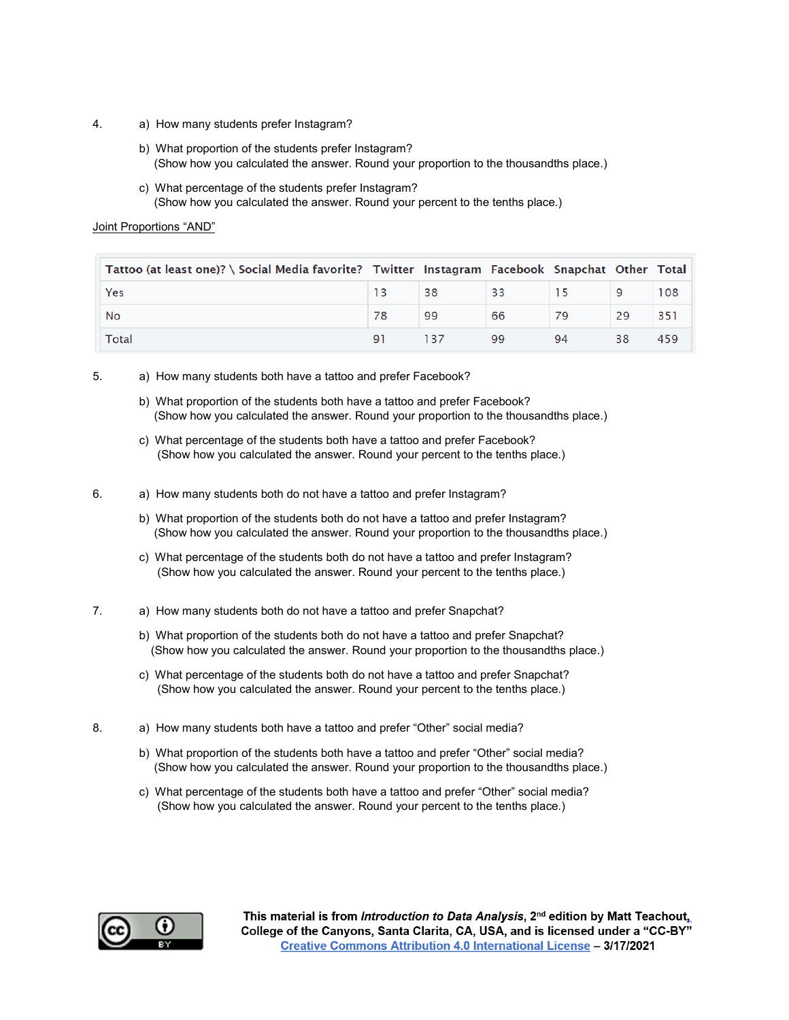- 4. a) How many students prefer Instagram?
	- b) What proportion of the students prefer Instagram? (Show how you calculated the answer. Round your proportion to the thousandths place.)
	- c) What percentage of the students prefer Instagram? (Show how you calculated the answer. Round your percent to the tenths place.)

## Joint Proportions "AND"

| Tattoo (at least one)? \ Social Media favorite? Twitter Instagram Facebook Snapchat Other Total |    |     |    |    |     |
|-------------------------------------------------------------------------------------------------|----|-----|----|----|-----|
| Yes                                                                                             | 38 | -33 |    |    | 108 |
| No                                                                                              | 99 | 66  |    | 29 | 351 |
| Total                                                                                           |    | 99  | 94 |    | 459 |

5. a) How many students both have a tattoo and prefer Facebook?

- b) What proportion of the students both have a tattoo and prefer Facebook? (Show how you calculated the answer. Round your proportion to the thousandths place.)
- c) What percentage of the students both have a tattoo and prefer Facebook? (Show how you calculated the answer. Round your percent to the tenths place.)

6. a) How many students both do not have a tattoo and prefer Instagram?

- b) What proportion of the students both do not have a tattoo and prefer Instagram? (Show how you calculated the answer. Round your proportion to the thousandths place.)
- c) What percentage of the students both do not have a tattoo and prefer Instagram? (Show how you calculated the answer. Round your percent to the tenths place.)
- 7. a) How many students both do not have a tattoo and prefer Snapchat?
	- b) What proportion of the students both do not have a tattoo and prefer Snapchat? (Show how you calculated the answer. Round your proportion to the thousandths place.)
	- c) What percentage of the students both do not have a tattoo and prefer Snapchat? (Show how you calculated the answer. Round your percent to the tenths place.)
- 8. a) How many students both have a tattoo and prefer "Other" social media?
	- b) What proportion of the students both have a tattoo and prefer "Other" social media? (Show how you calculated the answer. Round your proportion to the thousandths place.)
	- c) What percentage of the students both have a tattoo and prefer "Other" social media? (Show how you calculated the answer. Round your percent to the tenths place.)

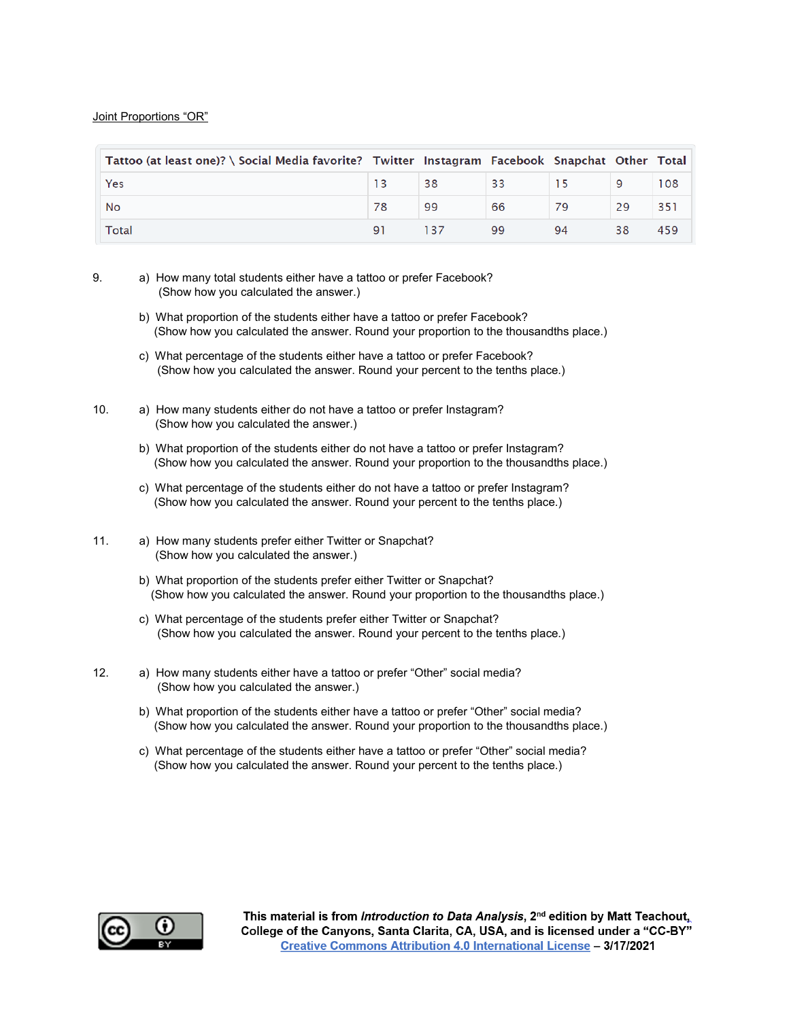### Joint Proportions "OR"

| Tattoo (at least one)? \ Social Media favorite? Twitter Instagram Facebook Snapchat Other Total |     |     |    |    |    |     |
|-------------------------------------------------------------------------------------------------|-----|-----|----|----|----|-----|
| Yes                                                                                             |     | 38  | 33 |    | 9  | 108 |
| No                                                                                              | 78  | 99  | 66 | 79 | 29 | 351 |
| Total                                                                                           | Q 1 | 137 | 99 | 94 | 38 | 459 |

- 9. a) How many total students either have a tattoo or prefer Facebook? (Show how you calculated the answer.)
	- b) What proportion of the students either have a tattoo or prefer Facebook? (Show how you calculated the answer. Round your proportion to the thousandths place.)
	- c) What percentage of the students either have a tattoo or prefer Facebook? (Show how you calculated the answer. Round your percent to the tenths place.)
- 10. a) How many students either do not have a tattoo or prefer Instagram? (Show how you calculated the answer.)
	- b) What proportion of the students either do not have a tattoo or prefer Instagram? (Show how you calculated the answer. Round your proportion to the thousandths place.)
	- c) What percentage of the students either do not have a tattoo or prefer Instagram? (Show how you calculated the answer. Round your percent to the tenths place.)
- 11. a) How many students prefer either Twitter or Snapchat? (Show how you calculated the answer.)
	- b) What proportion of the students prefer either Twitter or Snapchat? (Show how you calculated the answer. Round your proportion to the thousandths place.)
	- c) What percentage of the students prefer either Twitter or Snapchat? (Show how you calculated the answer. Round your percent to the tenths place.)
- 12. a) How many students either have a tattoo or prefer "Other" social media? (Show how you calculated the answer.)
	- b) What proportion of the students either have a tattoo or prefer "Other" social media? (Show how you calculated the answer. Round your proportion to the thousandths place.)
	- c) What percentage of the students either have a tattoo or prefer "Other" social media? (Show how you calculated the answer. Round your percent to the tenths place.)